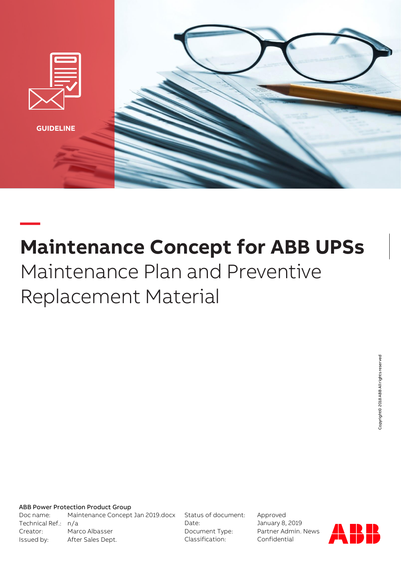

# **— Maintenance Concept for ABB UPSs**  Maintenance Plan and Preventive Replacement Material

ABB Power Protection Product Group

Doc name: Maintenance Concept Jan 2019.docx Technical Ref.: n/a Creator: Marco Albasser Issued by: After Sales Dept.

Status of document: Approved Date: January 8, 2019 Classification: Confidential

Document Type: Partner Admin. News

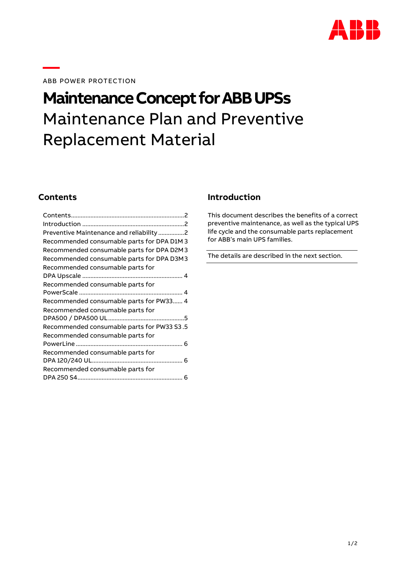

ABB POWER PROTECTION

## **Maintenance Concept for ABB UPSs** Maintenance Plan and Preventive Replacement Material

## <span id="page-1-0"></span>**Contents**

| Preventive Maintenance and reliability 2   |
|--------------------------------------------|
| Recommended consumable parts for DPA D1M3  |
| Recommended consumable parts for DPA D2M3  |
| Recommended consumable parts for DPA D3M3  |
| Recommended consumable parts for           |
|                                            |
| Recommended consumable parts for           |
|                                            |
| Recommended consumable parts for PW33 4    |
| Recommended consumable parts for           |
|                                            |
| Recommended consumable parts for PW33 S3.5 |
| Recommended consumable parts for           |
|                                            |
| Recommended consumable parts for           |
|                                            |
| Recommended consumable parts for           |
|                                            |
|                                            |

### <span id="page-1-1"></span>**Introduction**

This document describes the benefits of a correct preventive maintenance, as well as the typical UPS life cycle and the consumable parts replacement for ABB's main UPS families.

The details are described in the next section.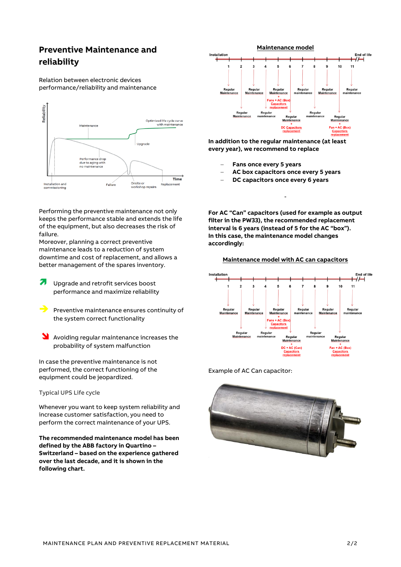## <span id="page-2-0"></span>**Preventive Maintenance and reliability**

Relation between electronic devices performance/reliability and maintenance



Performing the preventive maintenance not only keeps the performance stable and extends the life of the equipment, but also decreases the risk of failure.

Moreover, planning a correct preventive maintenance leads to a reduction of system downtime and cost of replacement, and allows a better management of the spares inventory.

- **7** Upgrade and retrofit services boost performance and maximize reliability
- **Preventive maintenance ensures continuity of** the system correct functionality
- Avoiding regular maintenance increases the probability of system malfunction

In case the preventive maintenance is not performed, the correct functioning of the equipment could be jeopardized.

Typical UPS Life cycle

Whenever you want to keep system reliability and increase customer satisfaction, you need to perform the correct maintenance of your UPS.

**The recommended maintenance model has been defined by the ABB factory in Quartino – Switzerland – based on the experience gathered over the last decade, and it is shown in the following chart.**



**In addition to the regular maintenance (at least every year), we recommend to replace** 

- **Fans once every 5 years**
- **AC box capacitors once every 5 years**
- **DC capacitors once every 6 years**

**For AC "Can" capacitors (used for example as output filter in the PW33), the recommended replacement interval is 6 years (instead of 5 for the AC "box"). In this case, the maintenance model changes accordingly:**

-





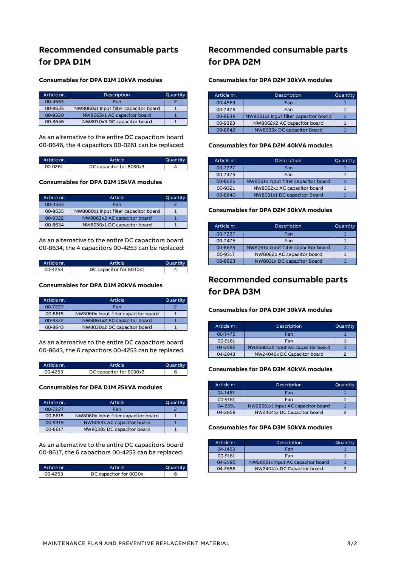## <span id="page-3-0"></span>**Recommended consumable parts for DPA D1M**

#### **Consumables for DPA D1M 10kVA modules**

| Article nr. | <b>Description</b>                    | Quantity |
|-------------|---------------------------------------|----------|
| 00-4563     | Fan                                   |          |
| 00-8635     | NW8060x1 Input filter capacitor board |          |
| 00-9320     | NW8063x1 AC capacitor board           |          |
| 00-8646     | NW8030x3 DC capacitor board           |          |

As an alternative to the entire DC capacitors board 00-8646, the 4 capacitors 00-0261 can be replaced:

| Article nr. | <b>Article</b>          | Quantity |
|-------------|-------------------------|----------|
| 00-0261     | DC capacitor for 8030x3 |          |

#### **Consumables for DPA D1M 15kVA modules**

| Article nr. | Article                               | Quantity |
|-------------|---------------------------------------|----------|
| 00-4563     | Fan                                   |          |
| 00-8635     | NW8060x1 Input filter capacitor board |          |
| 00-9322     | NW8063x2 AC capacitor board           |          |
| 00-8634     | NW8030x1 DC capacitor board           |          |

As an alternative to the entire DC capacitors board 00-8634, the 4 capacitors 00-4253 can be replaced:

| Article nr. | Article                 | Quantity |
|-------------|-------------------------|----------|
| 00-4253     | DC capacitor for 8030x1 |          |

#### **Consumables for DPA D1M 20kVA modules**

| Article nr. | Article                              | Quantity |
|-------------|--------------------------------------|----------|
| 00-7227     | Fan                                  |          |
| 00-8615     | NW8060x Input filter capacitor board |          |
| 00-9322     | NW8063x2 AC capacitor board          |          |
| 00-8643     | NW8030x2 DC capacitor board          |          |

As an alternative to the entire DC capacitors board 00-8643, the 6 capacitors 00-4253 can be replaced:

| Article nr. | Article                 | Quantity |
|-------------|-------------------------|----------|
| 00-4253     | DC capacitor for 8030x2 |          |

#### **Consumables for DPA D1M 25kVA modules**

| Article nr. | Article                              | Quantity |
|-------------|--------------------------------------|----------|
| 00-7227     | Fan                                  |          |
| 00-8615     | NW8060x Input filter capacitor board |          |
| 00-9319     | NW8063x AC capacitor board           |          |
| 00-8617     | NW8030x DC capacitor board           |          |

As an alternative to the entire DC capacitors board 00-8617, the 6 capacitors 00-4253 can be replaced:

| Article nr. | Article                | <b>Quantity</b> |
|-------------|------------------------|-----------------|
| 00-4253     | DC capacitor for 8030x |                 |

## <span id="page-3-1"></span>**Recommended consumable parts for DPA D2M**

#### **Consumables for DPA D2M 30kVA modules**

| Article nr. | Description                           | Quantity |
|-------------|---------------------------------------|----------|
| 00-4563     | Fan                                   |          |
| 00-7475     | Fan                                   |          |
| 00-8638     | NW8061x1 Input filter capacitor board |          |
| 00-9323     | NW8062x2 AC capacitor board           |          |
| 00-8642     | NW8033x DC capacitor Board            |          |

#### **Consumables for DPA D2M 40kVA modules**

| Article nr. | <b>Description</b>                   | Quantity |
|-------------|--------------------------------------|----------|
| 00-7227     | Fan                                  |          |
| 00-7475     | Fan                                  |          |
| 00-8625     | NW8061x Input filter capacitor board |          |
| 00-9321     | NW8062x1 AC capacitor board          |          |
| 00-8640     | NW8031x1 DC capacitor Board          |          |

#### **Consumables for DPA D2M 50kVA modules**

| Article nr. | <b>Description</b>                   | Quantity |
|-------------|--------------------------------------|----------|
| 00-7227     | Fan                                  |          |
| 00-7475     | Fan                                  |          |
| 00-8625     | NW8061x Input filter capacitor board |          |
| 00-9317     | NW8062x AC capacitor board           |          |
| 00-8623     | NW8031x DC capacitor Board           |          |

## <span id="page-3-2"></span>**Recommended consumable parts for DPA D3M**

#### **Consumables for DPA D3M 30kVA modules**

| Article nr. | <b>Description</b>                 | Quantity |
|-------------|------------------------------------|----------|
| 00-7475     | Fan                                |          |
| 00-9161     | Fan                                |          |
| 04-2592     | NW26061x2 Input AC capacitor board |          |
| 04-2043     | NW24040x DC Capacitor board        |          |

#### **Consumables for DPA D3M 40kVA modules**

| Article nr. | <b>Description</b>                 | Quantity |
|-------------|------------------------------------|----------|
| 04-1463     | Fan                                |          |
| 00-9161     | Fan                                |          |
| 04-2591     | NW26061x1 Input AC capacitor board |          |
| 04-2658     | NW24041x DC Capacitor board        |          |

#### **Consumables for DPA D3M 50kVA modules**

| Article nr. | <b>Description</b>                | Quantity |
|-------------|-----------------------------------|----------|
| 04-1463     | Fan                               |          |
| 00-9161     | Fan                               |          |
| 04-2590     | NW26061x Input AC capacitor board |          |
| 04-2658     | NW24041x DC Capacitor board       |          |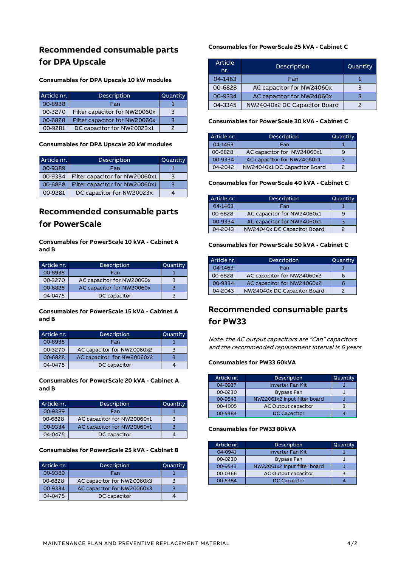## <span id="page-4-0"></span>**Recommended consumable parts for DPA Upscale**

#### **Consumables for DPA Upscale 10 kW modules**

| Article nr. | <b>Description</b>            | Quantity |
|-------------|-------------------------------|----------|
| 00-8938     | Fan                           |          |
| 00-3270     | Filter capacitor for NW20060x |          |
| 00-6828     | Filter capacitor for NW20060x |          |
| 00-9281     | DC capacitor for NW20023x1    |          |

#### **Consumables for DPA Upscale 20 kW modules**

| Article nr. | <b>Description</b>             | Quantity |
|-------------|--------------------------------|----------|
| 00-9389     | Fan                            |          |
| 00-9334     | Filter capacitor for NW20060x1 | 3        |
| 00-6828     | Filter capacitor for NW20060x1 |          |
| 00-9281     | DC capacitor for NW20023x      |          |

## <span id="page-4-1"></span>**Recommended consumable parts for PowerScale**

**Consumables for PowerScale 10 kVA - Cabinet A and B**

| Article nr. | Description               | Quantity |
|-------------|---------------------------|----------|
| 00-8938     | Fan                       |          |
| 00-3270     | AC capacitor for NW20060x |          |
| 00-6828     | AC capacitor for NW20060x |          |
| 04-0475     | DC capacitor              |          |

**Consumables for PowerScale 15 kVA - Cabinet A and B**

| Article nr. | Description                | <b>Quantity</b> |
|-------------|----------------------------|-----------------|
| 00-8938     | Fan                        |                 |
| 00-3270     | AC capacitor for NW20060x2 |                 |
| 00-6828     | AC capacitor for NW20060x2 |                 |
| 04-0475     | DC capacitor               |                 |

#### **Consumables for PowerScale 20 kVA - Cabinet A and B**

| Article nr. | <b>Description</b>         | Quantity |
|-------------|----------------------------|----------|
| 00-9389     | Fan                        |          |
| 00-6828     | AC capacitor for NW20060x1 | 3        |
| 00-9334     | AC capacitor for NW20060x1 |          |
| 04-0475     | DC capacitor               |          |

#### **Consumables for PowerScale 25 kVA - Cabinet B**

| Article nr. | <b>Description</b>         | Quantity |
|-------------|----------------------------|----------|
| 00-9389     | Fan                        |          |
| 00-6828     | AC capacitor for NW20060x3 |          |
| 00-9334     | AC capacitor for NW20060x3 |          |
| 04-0475     | DC capacitor               |          |

#### **Consumables for PowerScale 25 kVA - Cabinet C**

| <b>Article</b><br>nr. | Description                  | Quantity |
|-----------------------|------------------------------|----------|
| 04-1463               | Fan                          |          |
| 00-6828               | AC capacitor for NW24060x    |          |
| 00-9334               | AC capacitor for NW24060x    |          |
| 04-3345               | NW24040x2 DC Capacitor Board |          |

#### **Consumables for PowerScale 30 kVA - Cabinet C**

| Article nr. | Description                  | Quantity |
|-------------|------------------------------|----------|
| 04-1463     | Fan                          |          |
| 00-6828     | AC capacitor for NW24060x1   | 9        |
| 00-9334     | AC capacitor for NW24060x1   |          |
| 04-2042     | NW24040x1 DC Capacitor Board |          |

#### **Consumables for PowerScale 40 kVA - Cabinet C**

| Article nr. | Description                 | Quantity |
|-------------|-----------------------------|----------|
| 04-1463     | Fan                         |          |
| 00-6828     | AC capacitor for NW24060x1  | 9        |
| 00-9334     | AC capacitor for NW24060x1  |          |
| 04-2043     | NW24040x DC Capacitor Board |          |

#### **Consumables for PowerScale 50 kVA - Cabinet C**

| Article nr. | <b>Description</b>          | Quantity |
|-------------|-----------------------------|----------|
| 04-1463     | Fan                         |          |
| 00-6828     | AC capacitor for NW24060x2  | 6        |
| 00-9334     | AC capacitor for NW24060x2  | n        |
| 04-2043     | NW24040x DC Capacitor Board |          |

## <span id="page-4-2"></span>**Recommended consumable parts for PW33**

Note: the AC output capacitors are "Can" capacitors and the recommended replacement interval is 6 years

#### **Consumables for PW33 60kVA**

| Article nr. | Description                  | Quantity |
|-------------|------------------------------|----------|
| 04-0937     | <b>Inverter Fan Kit</b>      |          |
| 00-0230     | <b>Bypass Fan</b>            |          |
| 00-9543     | NW22061x2 Input filter board |          |
| 00-4005     | AC Output capacitor          |          |
| 00-5384     | <b>DC Capacitor</b>          |          |

#### **Consumables for PW33 80kVA**

| Article nr. | <b>Description</b>           | <b>Quantity</b> |
|-------------|------------------------------|-----------------|
| 04-0941     | <b>Inverter Fan Kit</b>      |                 |
| 00-0230     | <b>Bypass Fan</b>            |                 |
| 00-9543     | NW22061x2 Input filter board |                 |
| 00-0366     | AC Output capacitor          |                 |
| 00-5384     | <b>DC Capacitor</b>          |                 |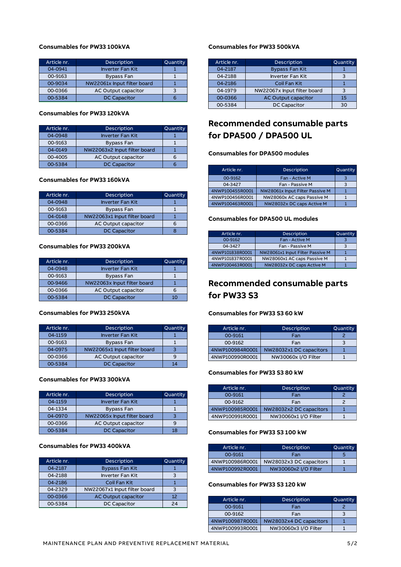#### **Consumables for PW33 100kVA**

| Article nr. | <b>Description</b>          | Quantity |
|-------------|-----------------------------|----------|
| 04-0941     | <b>Inverter Fan Kit</b>     |          |
| 00-9163     | <b>Bypass Fan</b>           |          |
| 00-9034     | NW22061x Input filter board |          |
| 00-0366     | AC Output capacitor         |          |
| 00-5384     | <b>DC Capacitor</b>         |          |

#### **Consumables for PW33 120kVA**

| Article nr. | <b>Description</b>           | Quantity |
|-------------|------------------------------|----------|
| 04-0948     | <b>Inverter Fan Kit</b>      |          |
| 00-9163     | <b>Bypass Fan</b>            |          |
| 04-0149     | NW22063x2 Input filter board |          |
| 00-4005     | AC Output capacitor          | n        |
| 00-5384     | <b>DC Capacitor</b>          |          |

#### **Consumables for PW33 160kVA**

| Article nr. | <b>Description</b>           | Quantity |
|-------------|------------------------------|----------|
| 04-0948     | <b>Inverter Fan Kit</b>      |          |
| 00-9163     | <b>Bypass Fan</b>            |          |
| 04-0148     | NW22063x1 Input filter board |          |
| 00-0366     | AC Output capacitor          |          |
| 00-5384     | <b>DC Capacitor</b>          |          |

#### **Consumables for PW33 200kVA**

| Article nr. | <b>Description</b>          | Quantity |
|-------------|-----------------------------|----------|
| 04-0948     | <b>Inverter Fan Kit</b>     |          |
| 00-9163     | <b>Bypass Fan</b>           |          |
| 00-9466     | NW22063x Input filter board |          |
| 00-0366     | AC Output capacitor         |          |
| 00-5384     | <b>DC Capacitor</b>         | 10       |

#### **Consumables for PW33 250kVA**

| Article nr. | <b>Description</b>           | Quantity |
|-------------|------------------------------|----------|
| 04-1159     | <b>Inverter Fan Kit</b>      |          |
| 00-9163     | <b>Bypass Fan</b>            |          |
| 04-0975     | NW22065x1 Input filter board |          |
| 00-0366     | AC Output capacitor          | 9        |
| 00-5384     | <b>DC Capacitor</b>          | 14       |

#### **Consumables for PW33 300kVA**

| Article nr. | <b>Description</b>          | Quantity |
|-------------|-----------------------------|----------|
| 04-1159     | <b>Inverter Fan Kit</b>     |          |
| 04-1334     | <b>Bypass Fan</b>           |          |
| 04-0970     | NW22065x Input filter board |          |
| 00-0366     | AC Output capacitor         |          |
| 00-5384     | <b>DC Capacitor</b>         | 18       |

#### **Consumables for PW33 400kVA**

| Article nr. | Description                  | Quantity |
|-------------|------------------------------|----------|
| 04-2187     | <b>Bypass Fan Kit</b>        |          |
| 04-2188     | <b>Inverter Fan Kit</b>      |          |
| 04-2186     | <b>Coil Fan Kit</b>          |          |
| 04-2329     | NW22067x1 Input filter board | з        |
| 00-0366     | <b>AC Output capacitor</b>   | 12       |
| 00-5384     | <b>DC Capacitor</b>          | 24       |
|             |                              |          |

#### **Consumables for PW33 500kVA**

| Article nr. | <b>Description</b>          | Quantity |
|-------------|-----------------------------|----------|
| 04-2187     | <b>Bypass Fan Kit</b>       |          |
| 04-2188     | <b>Inverter Fan Kit</b>     |          |
| 04-2186     | Coil Fan Kit                |          |
| 04-1979     | NW22067x Input filter board | З        |
| 00-0366     | AC Output capacitor         | 15       |
| 00-5384     | <b>DC Capacitor</b>         | 30       |
|             |                             |          |

## <span id="page-5-0"></span>**Recommended consumable parts for DPA500 / DPA500 UL**

#### **Consumables for DPA500 modules**

| Article nr.     | <b>Description</b>              | Quantity |
|-----------------|---------------------------------|----------|
| 00-9162         | Fan - Active M                  |          |
| 04-3427         | Fan - Passive M                 |          |
| 4NWP100455R0001 | NW28061x Input Filter Passive M |          |
| 4NWP100456R0001 | NW28060x AC caps Passive M      |          |
| 4NWP100463R0001 | NW28032x DC caps Active M       |          |

#### **Consumables for DPA500 UL modules**

| Article nr.     | <b>Description</b>               | Quantity |
|-----------------|----------------------------------|----------|
| 00-9162         | Fan - Active M                   |          |
| 04-3427         | Fan - Passive M                  |          |
| 4NWP101838R0001 | NW28061x1 Input Filter Passive M |          |
| 4NWP101837R0001 | NW28060x1 AC caps Passive M      |          |
| 4NWP100463R0001 | NW28032x DC caps Active M        |          |

## <span id="page-5-1"></span>**Recommended consumable parts for PW33 S3**

#### **Consumables for PW33 S3 60 kW**

| Article nr.     | <b>Description</b>      | Quantity |
|-----------------|-------------------------|----------|
| 00-9161         | Fan                     |          |
| 00-9162         | Fan                     |          |
| 4NWP100984R0001 | NW28032x1 DC capacitors |          |
| 4NWP100990R0001 | NW30060x I/O Filter     |          |

#### **Consumables for PW33 S3 80 kW**

| Article nr.     | <b>Description</b>      | Quantity |
|-----------------|-------------------------|----------|
| 00-9161         | Fan                     |          |
| 00-9162         | Fan                     |          |
| 4NWP100985R0001 | NW28032x2 DC capacitors |          |
| 4NWP100991R0001 | NW30060x1 I/O Filter    |          |

#### **Consumables for PW33 S3 100 kW**

| Article nr.     | <b>Description</b>      | Quantity |
|-----------------|-------------------------|----------|
| 00-9161         | Fan                     | ь        |
| 4NWP100986R0001 | NW28032x3 DC capacitors |          |
| 4NWP100992R0001 | NW30060x2 I/O Filter    |          |

#### **Consumables for PW33 S3 120 kW**

| Article nr.     | <b>Description</b>      | Quantity |
|-----------------|-------------------------|----------|
|                 |                         |          |
| 00-9161         | Fan                     |          |
| 00-9162         | Fan                     |          |
| 4NWP100987R0001 | NW28032x4 DC capacitors |          |
| 4NWP100993R0001 | NW30060x3 I/O Filter    |          |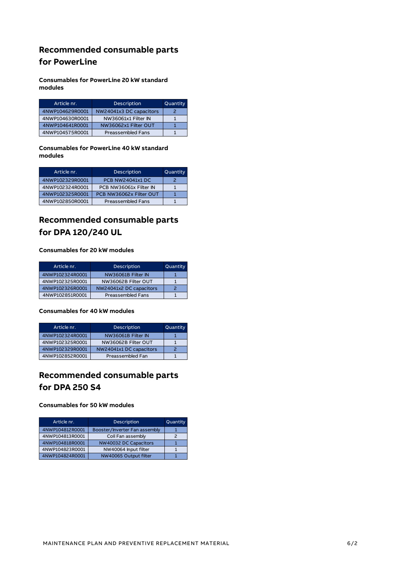## <span id="page-6-0"></span>**Recommended consumable parts for PowerLine**

**Consumables for PowerLine 20 kW standard modules**

| Article nr.     | <b>Description</b>       | Quantity |
|-----------------|--------------------------|----------|
| 4NWP104629R0001 | NW24041x3 DC capacitors  |          |
| 4NWP104630R0001 | NW36061x1 Filter IN      |          |
| 4NWP104641R0001 | NW36062x1 Filter OUT     |          |
| 4NWP104575R0001 | <b>Preassembled Fans</b> |          |

**Consumables for PowerLine 40 kW standard modules**

| Article nr.     | <b>Description</b>       | Quantity |
|-----------------|--------------------------|----------|
| 4NWP102329R0001 | <b>PCB NW24041x1 DC</b>  |          |
| 4NWP102324R0001 | PCB NW36061x Filter IN   |          |
| 4NWP102325R0001 | PCB NW36062x Filter OUT  |          |
| 4NWP102850R0001 | <b>Preassembled Fans</b> |          |

## <span id="page-6-1"></span>**Recommended consumable parts for DPA 120/240 UL**

#### **Consumables for 20 kW modules**

| Article nr.     | <b>Description</b>       | Quantity |
|-----------------|--------------------------|----------|
| 4NWP102324R0001 | NW36061B Filter IN       |          |
| 4NWP102325R0001 | NW36062B Filter OUT      |          |
| 4NWP102326R0001 | NW24041x2 DC capacitors  |          |
| 4NWP102851R0001 | <b>Preassembled Fans</b> |          |

#### **Consumables for 40 kW modules**

| Article nr.     | Description             | Quantity |
|-----------------|-------------------------|----------|
| 4NWP102324R0001 | NW36061B Filter IN      |          |
| 4NWP102325R0001 | NW36062B Filter OUT     |          |
| 4NWP102329R0001 | NW24041x1 DC capacitors |          |
| 4NWP102852R0001 | Preassembled Fan        |          |

## <span id="page-6-2"></span>**Recommended consumable parts for DPA 250 S4**

#### **Consumables for 50 kW modules**

| Article nr.     | <b>Description</b>            | Quantity |
|-----------------|-------------------------------|----------|
| 4NWP104812R0001 | Booster/Inverter Fan assembly |          |
| 4NWP104813R0001 | Coil Fan assembly             |          |
| 4NWP104818R0001 | NW40032 DC Capacitors         |          |
| 4NWP104823R0001 | NW40064 Input filter          |          |
| 4NWP104824R0001 | NW40065 Output filter         |          |